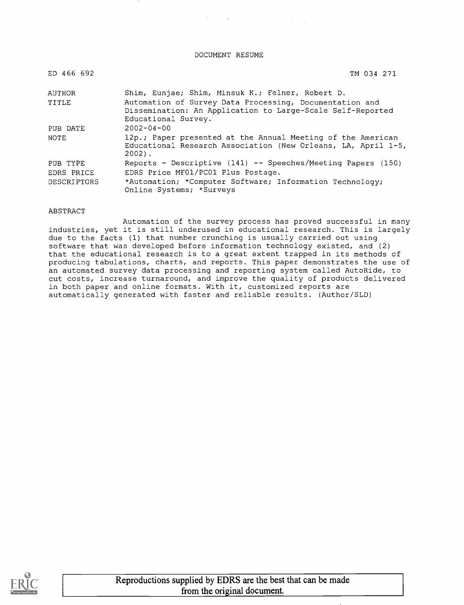DOCUMENT RESUME

| ED 466 692         | TM 034 271                                                                                                                                   |
|--------------------|----------------------------------------------------------------------------------------------------------------------------------------------|
| <b>AUTHOR</b>      | Shim, Eunjae; Shim, Minsuk K.; Felner, Robert D.                                                                                             |
| TITLE              | Automation of Survey Data Processing, Documentation and<br>Dissemination: An Application to Large-Scale Self-Reported<br>Educational Survey. |
| PUB DATE           | $2002 - 04 - 00$                                                                                                                             |
| NOTE               | 12p.; Paper presented at the Annual Meeting of the American<br>Educational Research Association (New Orleans, LA, April 1-5,<br>$2002$ .     |
| PUB TYPE           | Reports - Descriptive (141) -- Speeches/Meeting Papers (150)                                                                                 |
| EDRS PRICE         | EDRS Price MF01/PC01 Plus Postage.                                                                                                           |
| <b>DESCRIPTORS</b> | *Automation; *Computer Software; Information Technology;<br>Online Systems; *Surveys                                                         |

#### ABSTRACT

Automation of the survey process has proved successful in many industries, yet it is still underused in educational research. This is largely due to the facts (1) that number crunching is usually carried out using software that was developed before information technology existed, and (2) that the educational research is to a great extent trapped in its methods of producing tabulations, charts, and reports. This paper demonstrates the use of an automated survey data processing and reporting system called AutoRide, to cut costs, increase turnaround, and improve the quality of products delivered in both paper and online formats. With it, customized reports are automatically generated with faster and reliable results. (Author/SLD)

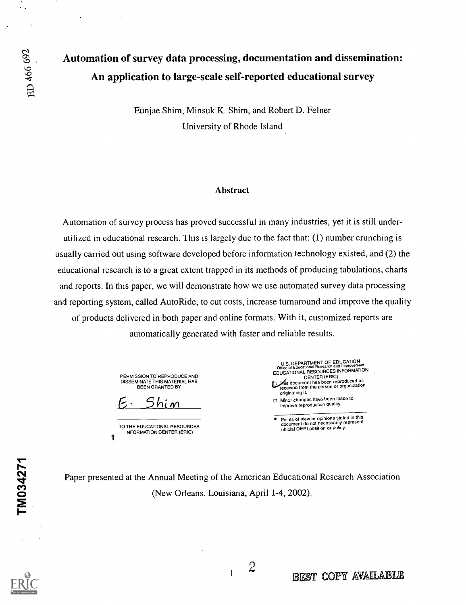$\epsilon$  .

# Automation of survey data processing, documentation and dissemination: An application to large-scale self-reported educational survey

Eunjae Shim, Minsuk K. Shim, and Robert D. Felner University of Rhode Island

### Abstract

Automation of survey process has proved successful in many industries, yet it is still underutilized in educational research. This is largely due to the fact that: (1) number crunching is usually carried out using software developed before information technology existed, and (2) the educational research is to a great extent trapped in its methods of producing tabulations, charts and reports. In this paper, we will demonstrate how we use automated survey data processing and reporting system, called AutoRide, to cut costs, increase turnaround and improve the quality of products delivered in both paper and online formats. With it, customized reports are automatically generated with faster and reliable results.

> PERMISSION TO REPRODUCE AND DISSEMINATE THIS MATERIAL HAS BEEN GRANTED BY

 $Shim$ 

TO THE EDUCATIONAL RESOURCES INFORMATION CENTER (ERIC) 1

U.S. DEPARTMENT OF EDUCATION Office of Educational Research and Improvement EDUCATIONAL RESOURCES INFORMATION CENTER (ERIC)<br>This document has been reproduced as<br>received from the person or organization originating it. Minor changes have been made to improve reproduction quality.

Points of view or opinions stated in this document do not necessarily represent official OERI position or policy.

Paper presented at the Annual Meeting of the American Educational Research Association (New Orleans, Louisiana, April 1-4, 2002).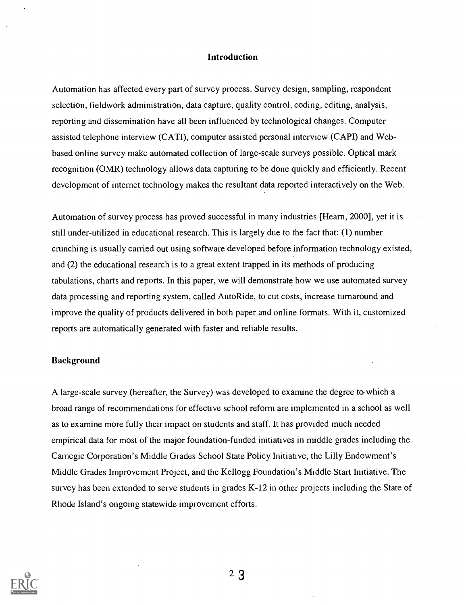# Introduction

Automation has affected every part of survey process. Survey design, sampling, respondent selection, fieldwork administration, data capture, quality control, coding, editing, analysis, reporting and dissemination have all been influenced by technological changes. Computer assisted telephone interview (CATI), computer assisted personal interview (CAPI) and Webbased online survey make automated collection of large-scale surveys possible. Optical mark recognition (OMR) technology allows data capturing to be done quickly and efficiently. Recent development of internet technology makes the resultant data reported interactively on the Web.

Automation of survey process has proved successful in many industries [Hearn, 2000], yet it is still under-utilized in educational research. This is largely due to the fact that: (1) number crunching is usually carried out using software developed before information technology existed, and (2) the educational research is to a great extent trapped in its methods of producing tabulations, charts and reports. In this paper, we will demonstrate how we use automated survey data processing and reporting system, called AutoRide, to cut costs, increase turnaround and improve the quality of products delivered in both paper and online formats. With it, customized reports are automatically generated with faster and reliable results.

### Background

A large-scale survey (hereafter, the Survey) was developed to examine the degree to which a broad range of recommendations for effective school reform are implemented in a school as well as to examine more fully their impact on students and staff. It has provided much needed empirical data for most of the major foundation-funded initiatives in middle grades including the Carnegie Corporation's Middle Grades School State Policy Initiative, the Lilly Endowment's Middle Grades Improvement Project, and the Kellogg Foundation's Middle Start Initiative. The survey has been extended to serve students in grades K-12 in other projects including the State of Rhode Island's ongoing statewide improvement efforts.



 $2<sub>3</sub>$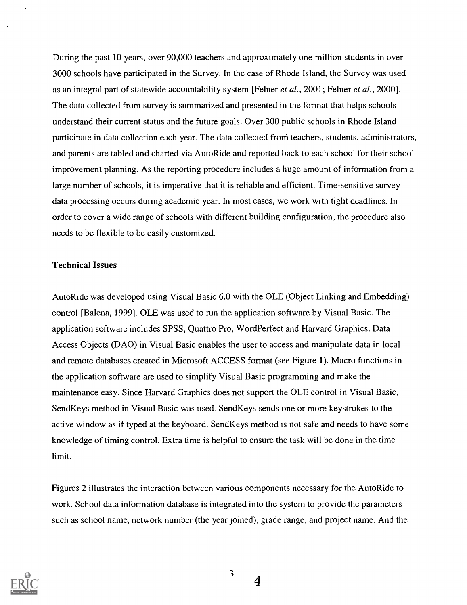During the past 10 years, over 90,000 teachers and approximately one million students in over 3000 schools have participated in the Survey. In the case of Rhode Island, the Survey was used as an integral part of statewide accountability system [Felner et al., 2001; Felner et al., 2000]. The data collected from survey is summarized and presented in the format that helps schools understand their current status and the future goals. Over 300 public schools in Rhode Island participate in data collection each year. The data collected froni teachers, students, administrators, and parents are tabled and charted via AutoRide and reported back to each school for their school improvement planning. As the reporting procedure includes a huge amount of information from a large number of schools, it is imperative that it is reliable and efficient. Time-sensitive survey data processing occurs during academic year. In most cases, we work with tight deadlines. In order to cover a wide range of schools with different building configuration, the procedure also needs to be flexible to be easily customized.

# Technical Issues

Auto Ride was developed using Visual Basic 6.0 with the OLE (Object Linking and Embedding) control [Balena, 1999]. OLE was used to run the application software by Visual Basic. The application software includes SPSS, Quattro Pro, WordPerfect and Harvard Graphics. Data Access Objects (DAO) in Visual Basic enables the user to access and manipulate data in local and remote databases created in Microsoft ACCESS format (see Figure 1). Macro functions in the application software are used to simplify Visual Basic programming and make the maintenance easy. Since Harvard Graphics does not support the OLE control in Visual Basic, Send Keys method in Visual Basic was used. Send Keys sends one or more keystrokes to the active window as if typed at the keyboard. Send Keys method is not safe and needs to have some knowledge of timing control. Extra time is helpful to ensure the task will be done in the time limit.

Figures 2 illustrates the interaction between various components necessary for the AutoRide to work. School data information database is integrated into the system to provide the parameters such as school name, network number (the year joined), grade range, and project name. And the



3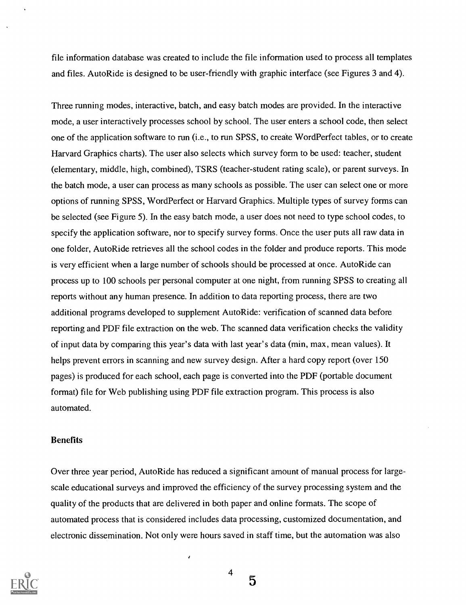file information database was created to include the file information used to process all templates and files. Auto Ride is designed to be user-friendly with graphic interface (see Figures 3 and 4).

Three running modes, interactive, batch, and easy batch modes are provided. In the interactive mode, a user interactively processes school by school. The user enters a school code, then select one of the application software to run (i.e., to run SPSS, to create WordPerfect tables, or to create Harvard Graphics charts). The user also selects which survey form to be used: teacher, student (elementary, middle, high, combined), TSRS (teacher-student rating scale), or parent surveys. In the batch mode, a user can process as many schools as possible. The user can select one or more options of running SPSS, WordPerfect or Harvard Graphics. Multiple types of survey forms can be selected (see Figure 5). In the easy batch mode, a user does not need to type school codes, to specify the application software, nor to specify survey forms. Once the user puts all raw data in one folder, AutoRide retrieves all the school codes in the folder and produce reports. This mode is very efficient when a large number of schools should be processed at once. Auto Ride can process up to 100 schools per personal computer at one night, from running SPSS to creating all reports without any human presence. In addition to data reporting process, there are two additional programs developed to supplement AutoRide: verification of scanned data before reporting and PDF file extraction on the web. The scanned data verification checks the validity of input data by comparing this year's data with last year's data (min, max, mean values). It helps prevent errors in scanning and new survey design. After a hard copy report (over 150 pages) is produced for each school, each page is converted into the PDF (portable document format) file for Web publishing using PDF file extraction program. This process is also automated.

# Benefits

Over three year period, AutoRide has reduced a significant amount of manual process for largescale educational surveys and improved the efficiency of the survey processing system and the quality of the products that are delivered in both paper and online formats. The scope of automated process that is considered includes data processing, customized documentation, and electronic dissemination. Not only were hours saved in staff time, but the automation was also



 $4 \rightarrow$ 

ł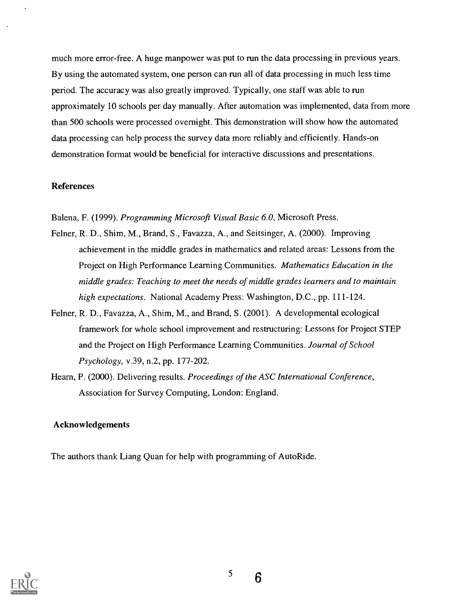much more error-free. A huge manpower was put to run the data processing in previous years. By using the automated system, one person can run all of data processing in much less time period. The accuracy was also greatly improved. Typically, one staff was able to run approximately 10 schools per day manually. After automation was implemented, data from more than 500 schools were processed overnight. This demonstration will show how the automated data processing can help process the survey data more reliably and efficiently. Hands-on demonstration format would be beneficial for interactive discussions and presentations.

### References

Balena, F. (1999). Programming Microsoft Visual Basic 6.0, Microsoft Press.

- Felner, R. D., Shim, M., Brand, S., Favazza, A., and Seitsinger, A. (2000). Improving achievement in the middle grades in mathematics and related areas: Lessons from the Project on High Performance Learning Communities. Mathematics Education in the middle grades: Teaching to meet the needs of middle grades learners and to maintain high expectations. National Academy Press: Washington, D.C., pp. 111-124.
- Felner, R. D., Favazza, A., Shim, M., and Brand, S. (2001). A developmental ecological framework for whole school improvement and restructuring: Lessons for Project STEP and the Project on High Performance Learning Communities. Journal of School Psychology, v.39, n.2, pp. 177-202.
- Hearn, P. (2000). Delivering results. Proceedings of the ASC International Conference, Association for Survey Computing, London: England.

### Acknowledgements

The authors thank Liang Quan for help with programming of AutoRide.



5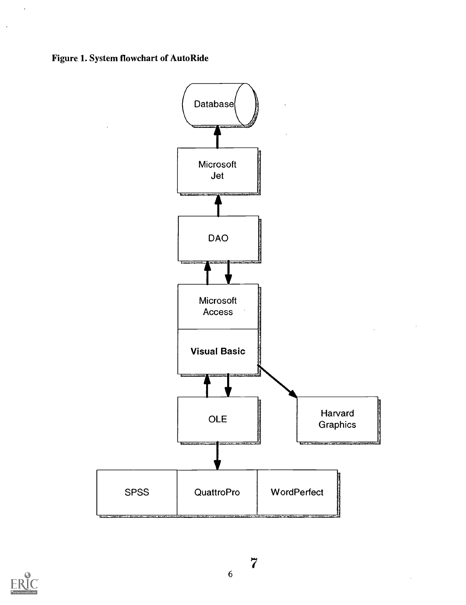Figure 1. System flowchart of Auto Ride





 $\ddot{\phantom{1}}$ 

 $\ddot{\phantom{a}}$ 

6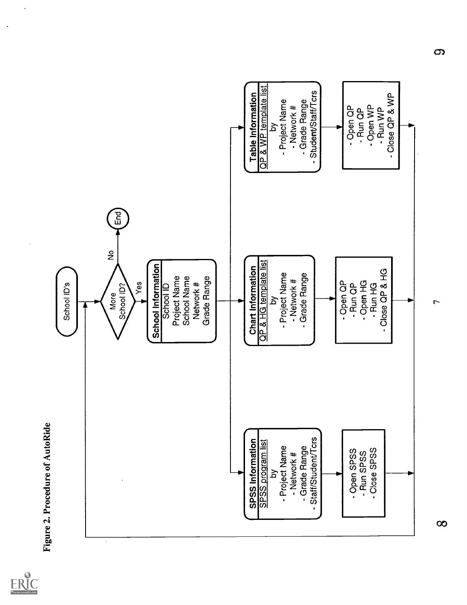

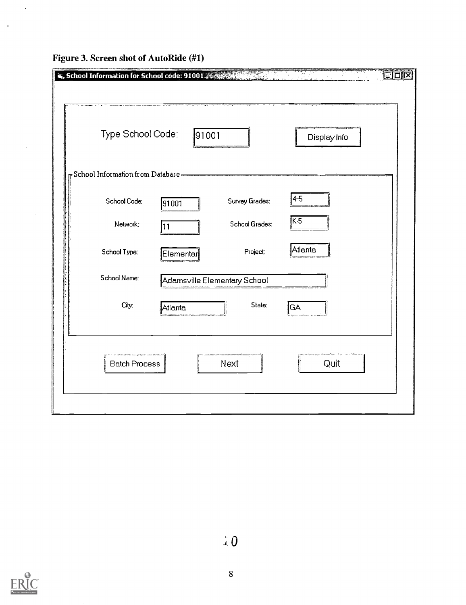| Type School Code:                                                | 91001     |                                                                                                                  | Display Info |
|------------------------------------------------------------------|-----------|------------------------------------------------------------------------------------------------------------------|--------------|
| $\bar{\phantom{\phi}}$ School Information from Database $=\!\!=$ |           | and the country of the company of the company of the company of the company of the company of the company of the |              |
| School Code:                                                     | 91001     | Survey Grades:                                                                                                   | $4 - 5$      |
| Network:                                                         | 11        | <b>School Grades:</b>                                                                                            | $K-5$        |
| School Type:                                                     | Elementar | Project:                                                                                                         | Atlanta      |
| School Name:                                                     |           | Adamsville Elementary School                                                                                     |              |
| City:                                                            | Atlanta   | State:                                                                                                           | GA           |
|                                                                  |           | Next                                                                                                             | Quit         |

Figure 3. Screen shot of AutoRide (#1)

 $\ddot{\phantom{0}}$ 

 $\ddot{\phantom{1}}$ 

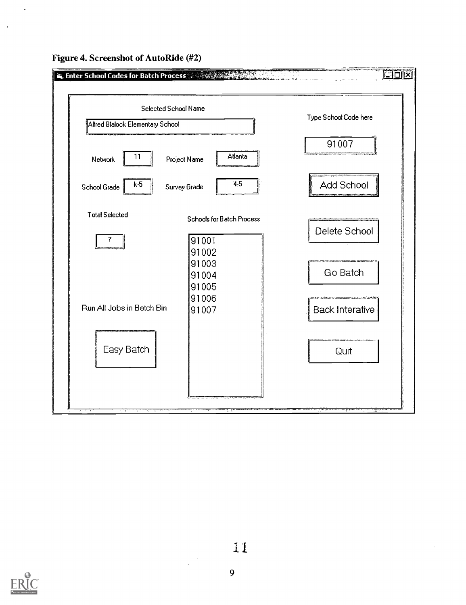

Figure 4. Screenshot of AutoRide (#2)

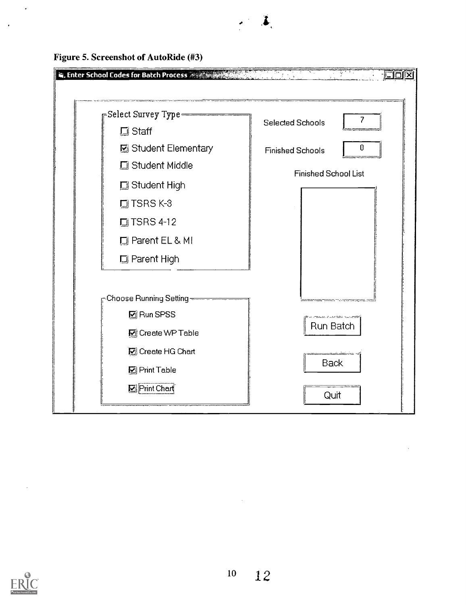

Figure 5. Screenshot of AutoRide (#3)



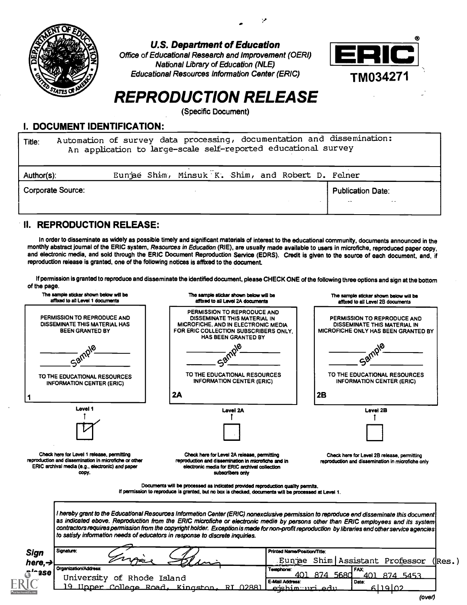

U.S. Department of Education

Office of Educational Research and Improvement (OERI) National Library of Education (NLE) Educational Resources Information Center (ERIC)



# REPRODUCTION RELEASE

(Specific Document)

# I. DOCUMENT IDENTIFICATION:

Title: Automation of survey data processing, documentation and dissemination: An application to large-scale self-reported educational survey

| Author(s):               |  | Eunjae Shim, Minsuk K. Shim, and Robert D. Felner |  |  |                                                                |  |
|--------------------------|--|---------------------------------------------------|--|--|----------------------------------------------------------------|--|
| <b>Corporate Source:</b> |  |                                                   |  |  | <b>Publication Date:</b><br>$-$<br>$\rightarrow$ $\rightarrow$ |  |
|                          |  |                                                   |  |  |                                                                |  |

# II. REPRODUCTION RELEASE:

In order to disseminate as widely as possible timely and significant materials of interest to the educational community, documents announced in the monthly abstract journal of the ERIC system, Resources in Education (RIE), are usually made available to users in microfiche, reproduced paper copy, and electronic media, and sold through the ERIC Document Reproduction Service (EDRS). Credit is given to the source of each document, and, if reproduction release is granted, one of the following notices is affixed to the document

If permission is granted to reproduce and disseminate the identified document, please CHECK ONE of the following three options and sign at the bottom of the page.

| The sample sticker shown below will be<br>affixed to all Level 1 documents                                                                                       |                            | The sample sticker shown below will be<br>affixed to all Level 2A documents                                                                                                                                                                                                                                                                                                                                                                                                                                       |                                | The sample sticker shown below will be<br>affixed to all Level 2B documents                        |         |
|------------------------------------------------------------------------------------------------------------------------------------------------------------------|----------------------------|-------------------------------------------------------------------------------------------------------------------------------------------------------------------------------------------------------------------------------------------------------------------------------------------------------------------------------------------------------------------------------------------------------------------------------------------------------------------------------------------------------------------|--------------------------------|----------------------------------------------------------------------------------------------------|---------|
| PERMISSION TO REPRODUCE AND<br>DISSEMINATE THIS MATERIAL HAS<br><b>BEEN GRANTED BY</b>                                                                           |                            | PERMISSION TO REPRODUCE AND<br>DISSEMINATE THIS MATERIAL IN<br>MICROFICHE, AND IN ELECTRONIC MEDIA<br>FOR ERIC COLLECTION SUBSCRIBERS ONLY.<br><b>HAS BEEN GRANTED BY</b>                                                                                                                                                                                                                                                                                                                                         |                                | PERMISSION TO REPRODUCE AND<br>DISSEMINATE THIS MATERIAL IN<br>MICROFICHE ONLY HAS BEEN GRANTED BY |         |
|                                                                                                                                                                  |                            |                                                                                                                                                                                                                                                                                                                                                                                                                                                                                                                   |                                |                                                                                                    |         |
|                                                                                                                                                                  |                            |                                                                                                                                                                                                                                                                                                                                                                                                                                                                                                                   |                                |                                                                                                    |         |
| TO THE EDUCATIONAL RESOURCES<br><b>INFORMATION CENTER (ERIC)</b>                                                                                                 |                            | TO THE EDUCATIONAL RESOURCES<br>INFORMATION CENTER (ERIC)                                                                                                                                                                                                                                                                                                                                                                                                                                                         |                                | TO THE EDUCATIONAL RESOURCES<br><b>INFORMATION CENTER (ERIC)</b>                                   |         |
|                                                                                                                                                                  |                            | 2A                                                                                                                                                                                                                                                                                                                                                                                                                                                                                                                | 2B                             |                                                                                                    |         |
| Level 1                                                                                                                                                          |                            | Lavel 2A                                                                                                                                                                                                                                                                                                                                                                                                                                                                                                          |                                | Level 2B                                                                                           |         |
|                                                                                                                                                                  |                            |                                                                                                                                                                                                                                                                                                                                                                                                                                                                                                                   |                                |                                                                                                    |         |
|                                                                                                                                                                  |                            |                                                                                                                                                                                                                                                                                                                                                                                                                                                                                                                   |                                |                                                                                                    |         |
| Check here for Level 1 release, permitting<br>reproduction and dissemination in microfiche or other<br>ERIC archival media (e.g., electronic) and paper<br>copy. |                            | Check here for Level 2A release, permitting<br>reproduction and dissemination in microfiche and in<br>electronic media for ERIC archival collection<br>subscribers only                                                                                                                                                                                                                                                                                                                                           |                                | Check here for Level 2B release, permitting<br>reproduction and dissemination in microfiche only   |         |
|                                                                                                                                                                  |                            | Documents will be processed as indicated provided reproduction quality permits.<br>If permission to reproduce is granted, but no box is checked, documents will be processed at Level 1.                                                                                                                                                                                                                                                                                                                          |                                |                                                                                                    |         |
|                                                                                                                                                                  |                            | I hereby grant to the Educational Resources Informetion Center (ERIC) nonexclusive permission to reproduce end disseminate this document<br>as indicated ebove. Reproduction from the ERIC microfiche or electronic medie by persons other than ERIC employees and its system<br>contractors requires permission from the copyright holder. Exception is made for non-profit reproduction by libraries end other service agencies<br>to satisfy information needs of educators in response to discrete inquiries. |                                |                                                                                                    |         |
| Signature:<br><b>Sign</b>                                                                                                                                        |                            |                                                                                                                                                                                                                                                                                                                                                                                                                                                                                                                   | Printed Nama/Position/Title:   |                                                                                                    |         |
| here, $\rightarrow$                                                                                                                                              |                            |                                                                                                                                                                                                                                                                                                                                                                                                                                                                                                                   |                                | Eunjae Shim Assistant Professor                                                                    | ( Res.) |
| Organization/Address:<br>A <sup>la</sup> 150                                                                                                                     |                            |                                                                                                                                                                                                                                                                                                                                                                                                                                                                                                                   | Telephone:<br>874 5680<br>401. | FAX:<br>401 874 5453                                                                               |         |
|                                                                                                                                                                  | University of Rhode Island |                                                                                                                                                                                                                                                                                                                                                                                                                                                                                                                   | E-Mail Address:                | Date:                                                                                              |         |
|                                                                                                                                                                  |                            | 19 Upper College Road, Kingston, RI 02881                                                                                                                                                                                                                                                                                                                                                                                                                                                                         | <u>eishimmuri edu</u>          | حملعتاء                                                                                            |         |